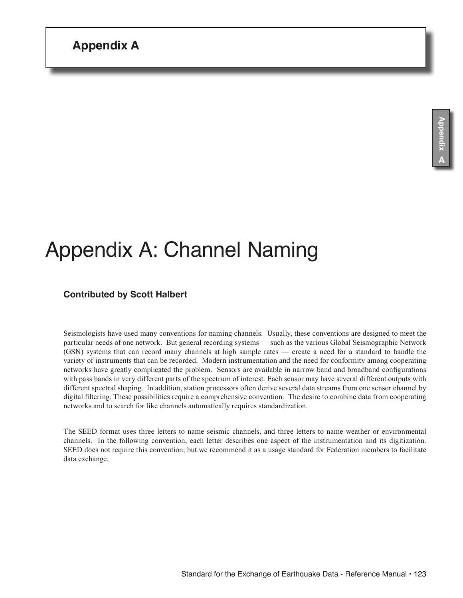# Appendix A: Channel Naming

## **Contributed by Scott Halbert**

Seismologists have used many conventions for naming channels. Usually, these conventions are designed to meet the particular needs of one network. But general recording systems — such as the various Global Seismographic Network (GSN) systems that can record many channels at high sample rates — create a need for a standard to handle the variety of instruments that can be recorded. Modern instrumentation and the need for conformity among cooperating networks have greatly complicated the problem. Sensors are available in narrow band and broadband configurations with pass bands in very different parts of the spectrum of interest. Each sensor may have several different outputs with different spectral shaping. In addition, station processors often derive several data streams from one sensor channel by digital filtering. These possibilities require a comprehensive convention. The desire to combine data from cooperating networks and to search for like channels automatically requires standardization.

The SEED format uses three letters to name seismic channels, and three letters to name weather or environmental channels. In the following convention, each letter describes one aspect of the instrumentation and its digitization. SEED does not require this convention, but we recommend it as a usage standard for Federation members to facilitate data exchange.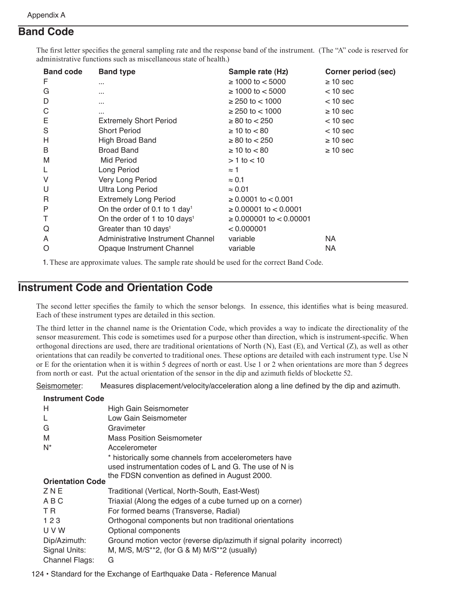# **Band Code**

The first letter specifies the general sampling rate and the response band of the instrument. (The "A" code is reserved for administrative functions such as miscellaneous state of health.)

| <b>Band code</b> | <b>Band type</b>                          | Sample rate (Hz)               | <b>Corner period (sec)</b> |
|------------------|-------------------------------------------|--------------------------------|----------------------------|
| F                |                                           | $≥ 1000$ to $< 5000$           | $\geq 10$ sec              |
| G                |                                           | $≥ 1000$ to $< 5000$           | $<$ 10 sec                 |
| D                |                                           | $\geq$ 250 to $<$ 1000         | $<$ 10 sec                 |
| C                |                                           | $\geq$ 250 to $<$ 1000         | $\geq 10$ sec              |
| Ε                | <b>Extremely Short Period</b>             | $\geq 80$ to $< 250$           | $<$ 10 sec                 |
| S                | <b>Short Period</b>                       | $\geq 10$ to $< 80$            | $<$ 10 sec                 |
| Н                | <b>High Broad Band</b>                    | $\geq 80$ to $< 250$           | $\geq 10$ sec              |
| B                | <b>Broad Band</b>                         | $\geq 10$ to $< 80$            | $\geq 10$ sec              |
| M                | Mid Period                                | $> 1$ to $< 10$                |                            |
|                  | Long Period                               | $\approx$ 1                    |                            |
| V                | Very Long Period                          | $\approx 0.1$                  |                            |
| U                | <b>Ultra Long Period</b>                  | $\approx 0.01$                 |                            |
| R                | <b>Extremely Long Period</b>              | $\geq 0.0001$ to $< 0.001$     |                            |
| P                | On the order of 0.1 to 1 day <sup>1</sup> | $\geq 0.00001$ to $< 0.0001$   |                            |
| Τ                | On the order of 1 to 10 days <sup>1</sup> | $\geq 0.000001$ to $< 0.00001$ |                            |
| Q                | Greater than 10 days <sup>1</sup>         | < 0.000001                     |                            |
| A                | Administrative Instrument Channel         | variable                       | NA.                        |
| O                | Opaque Instrument Channel                 | variable                       | NA.                        |

1. These are approximate values. The sample rate should be used for the correct Band Code.

## **Instrument Code and Orientation Code**

The second letter specifies the family to which the sensor belongs. In essence, this identifies what is being measured. Each of these instrument types are detailed in this section.

The third letter in the channel name is the Orientation Code, which provides a way to indicate the directionality of the sensor measurement. This code is sometimes used for a purpose other than direction, which is instrument-specific. When orthogonal directions are used, there are traditional orientations of North (N), East (E), and Vertical (Z), as well as other orientations that can readily be converted to traditional ones. These options are detailed with each instrument type. Use N or E for the orientation when it is within 5 degrees of north or east. Use 1 or 2 when orientations are more than 5 degrees from north or east. Put the actual orientation of the sensor in the dip and azimuth fields of blockette 52.

Seismometer: Measures displacement/velocity/acceleration along a line defined by the dip and azimuth.

| High Gain Seismometer                                                                                                        |
|------------------------------------------------------------------------------------------------------------------------------|
| Low Gain Seismometer                                                                                                         |
| Gravimeter                                                                                                                   |
| <b>Mass Position Seismometer</b>                                                                                             |
| Accelerometer                                                                                                                |
| * historically some channels from accelerometers have<br>used instrumentation codes of L and G. The use of N is              |
| the FDSN convention as defined in August 2000.                                                                               |
| <b>Orientation Code</b>                                                                                                      |
| Traditional (Vertical, North-South, East-West)                                                                               |
| Triaxial (Along the edges of a cube turned up on a corner)                                                                   |
| For formed beams (Transverse, Radial)                                                                                        |
| Orthogonal components but non traditional orientations                                                                       |
| Optional components                                                                                                          |
| Ground motion vector (reverse dip/azimuth if signal polarity incorrect)<br>M, M/S, M/S**2, (for G & M) M/S**2 (usually)<br>G |
|                                                                                                                              |

124 • Standard for the Exchange of Earthquake Data - Reference Manual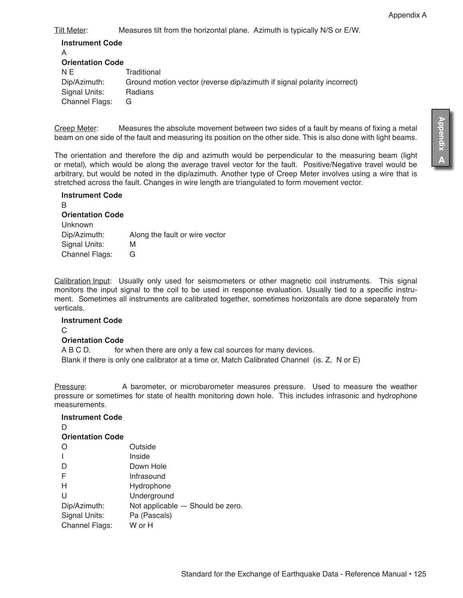Tilt Meter: Measures tilt from the horizontal plane. Azimuth is typically N/S or E/W.

| <b>Instrument Code</b><br>Α |                                                                         |
|-----------------------------|-------------------------------------------------------------------------|
| <b>Orientation Code</b>     |                                                                         |
| N E                         | Traditional                                                             |
| Dip/Azimuth:                | Ground motion vector (reverse dip/azimuth if signal polarity incorrect) |
| Signal Units:               | Radians                                                                 |
| <b>Channel Flags:</b>       | G                                                                       |
|                             |                                                                         |

Creep Meter: Measures the absolute movement between two sides of a fault by means of fixing a metal beam on one side of the fault and measuring its position on the other side. This is also done with light beams.

The orientation and therefore the dip and azimuth would be perpendicular to the measuring beam (light or metal), which would be along the average travel vector for the fault. Positive/Negative travel would be arbitrary, but would be noted in the dip/azimuth. Another type of Creep Meter involves using a wire that is stretched across the fault. Changes in wire length are triangulated to form movement vector.

| <b>Instrument Code</b>  |                                |
|-------------------------|--------------------------------|
| в                       |                                |
| <b>Orientation Code</b> |                                |
| Unknown                 |                                |
| Dip/Azimuth:            | Along the fault or wire vector |
| Signal Units:           | М                              |
| <b>Channel Flags:</b>   | G                              |

Calibration Input: Usually only used for seismometers or other magnetic coil instruments. This signal monitors the input signal to the coil to be used in response evaluation. Usually tied to a specific instrument. Sometimes all instruments are calibrated together, sometimes horizontals are done separately from verticals.

#### **Instrument Code**

 $\cap$ 

#### **Orientation Code**

**Instrument Code**

A B C D. for when there are only a few cal sources for many devices. Blank if there is only one calibrator at a time or, Match Calibrated Channel (is. Z, N or E)

Pressure: A barometer, or microbarometer measures pressure. Used to measure the weather pressure or sometimes for state of health monitoring down hole. This includes infrasonic and hydrophone measurements.

| Outside                          |
|----------------------------------|
| Inside                           |
| Down Hole                        |
| Infrasound                       |
| Hydrophone                       |
| Underground                      |
| Not applicable - Should be zero. |
| Pa (Pascals)                     |
| W or H                           |
|                                  |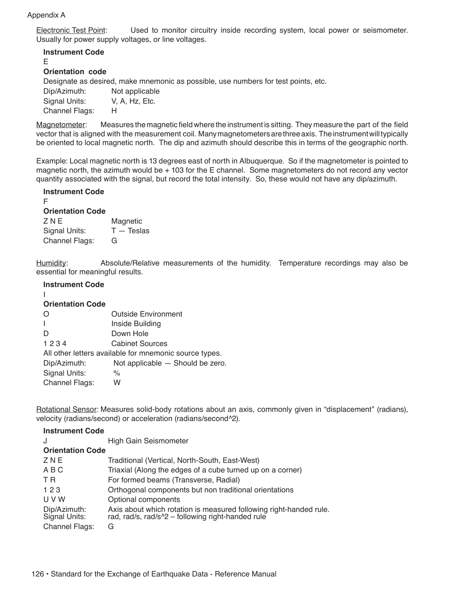#### Appendix A

Electronic Test Point: Used to monitor circuitry inside recording system, local power or seismometer. Usually for power supply voltages, or line voltages.

## **Instrument Code**

E

### **Orientation code**

Designate as desired, make mnemonic as possible, use numbers for test points, etc.

| Dip/Azimuth:          | Not applicable |
|-----------------------|----------------|
| Signal Units:         | V, A, Hz, Etc. |
| <b>Channel Flags:</b> | н              |

Magnetometer: Measures the magnetic field where the instrument is sitting. They measure the part of the field vector that is aligned with the measurement coil. Many magnetometers are three axis. The instrument will typically be oriented to local magnetic north. The dip and azimuth should describe this in terms of the geographic north.

Example: Local magnetic north is 13 degrees east of north in Albuquerque. So if the magnetometer is pointed to magnetic north, the azimuth would be + 103 for the E channel. Some magnetometers do not record any vector quantity associated with the signal, but record the total intensity. So, these would not have any dip/azimuth.

#### **Instrument Code**

F

## **Orientation Code**

| <b>ZNE</b>            | Magnetic      |
|-----------------------|---------------|
| Signal Units:         | $T - T$ eslas |
| <b>Channel Flags:</b> | G             |

Humidity: Absolute/Relative measurements of the humidity. Temperature recordings may also be essential for meaningful results.

#### **Instrument Code**

#### I **Orientation Code**

| <b>UNGHANDII UUUC</b>                                  |                                  |  |
|--------------------------------------------------------|----------------------------------|--|
| $\Omega$                                               | <b>Outside Environment</b>       |  |
| $\mathbf{I}$                                           | Inside Building                  |  |
| D                                                      | Down Hole                        |  |
| 1234                                                   | <b>Cabinet Sources</b>           |  |
| All other letters available for mnemonic source types. |                                  |  |
| Dip/Azimuth:                                           | Not applicable - Should be zero. |  |
| Signal Units:                                          | %                                |  |
| <b>Channel Flags:</b>                                  | w                                |  |
|                                                        |                                  |  |

Rotational Sensor: Measures solid-body rotations about an axis, commonly given in "displacement" (radians), velocity (radians/second) or acceleration (radians/second^2).

| <b>Instrument Code</b>                          |                                                                                                                              |
|-------------------------------------------------|------------------------------------------------------------------------------------------------------------------------------|
| J                                               | High Gain Seismometer                                                                                                        |
| <b>Orientation Code</b>                         |                                                                                                                              |
| ZNE                                             | Traditional (Vertical, North-South, East-West)                                                                               |
| ABC                                             | Triaxial (Along the edges of a cube turned up on a corner)                                                                   |
| T R                                             | For formed beams (Transverse, Radial)                                                                                        |
| 123                                             | Orthogonal components but non traditional orientations                                                                       |
| U V W                                           | Optional components                                                                                                          |
| Dip/Azimuth:<br>Signal Units:<br>Channel Flags: | Axis about which rotation is measured following right-handed rule.<br>rad, rad/s, rad/s^2 - following right-handed rule<br>G |
|                                                 |                                                                                                                              |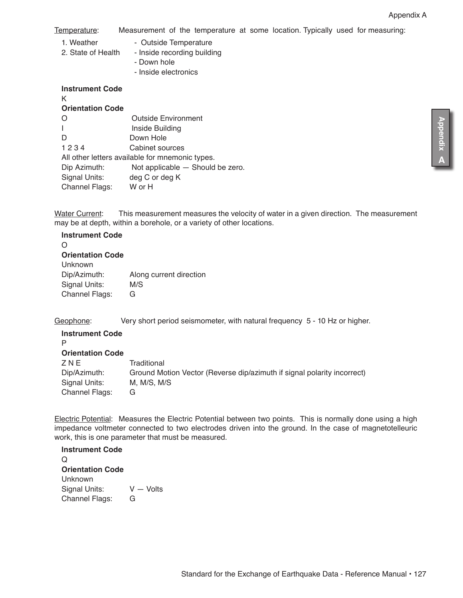Temperature: Measurement of the temperature at some location. Typically used for measuring:

- 1. Weather Outside Temperature
- 2. State of Health Inside recording building
	- Down hole
	- Inside electronics

| <b>Instrument Code</b><br>Κ                     |                                  |  |
|-------------------------------------------------|----------------------------------|--|
| <b>Orientation Code</b>                         |                                  |  |
| O                                               | <b>Outside Environment</b>       |  |
|                                                 | Inside Building                  |  |
| D                                               | Down Hole                        |  |
| 1234                                            | Cabinet sources                  |  |
| All other letters available for mnemonic types. |                                  |  |
| Dip Azimuth:                                    | Not applicable - Should be zero. |  |
| Signal Units:                                   | deg C or deg K                   |  |
| Channel Flags:                                  | W or H                           |  |

Water Current: This measurement measures the velocity of water in a given direction. The measurement may be at depth, within a borehole, or a variety of other locations.

# **Instrument Code** O **Orientation Code** Unknown

Dip/Azimuth: Along current direction Signal Units: M/S Channel Flags: G

Geophone: Very short period seismometer, with natural frequency 5 - 10 Hz or higher.

| <b>Instrument Code</b><br>P |                                                                         |
|-----------------------------|-------------------------------------------------------------------------|
| <b>Orientation Code</b>     |                                                                         |
| ZNE                         | Traditional                                                             |
| Dip/Azimuth:                | Ground Motion Vector (Reverse dip/azimuth if signal polarity incorrect) |
| Signal Units:               | M, M/S, M/S                                                             |
| Channel Flags:              | G                                                                       |

Electric Potential: Measures the Electric Potential between two points. This is normally done using a high impedance voltmeter connected to two electrodes driven into the ground. In the case of magnetotelleuric work, this is one parameter that must be measured.

**Instrument Code**  $\Omega$ **Orientation Code** Unknown Signal Units: V — Volts Channel Flags: G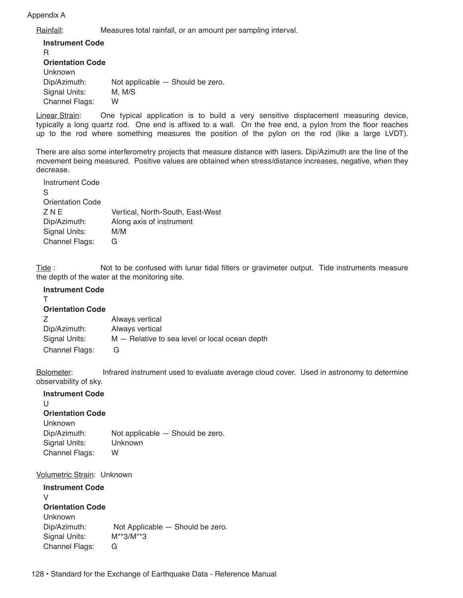#### Appendix A

Rainfall: Measures total rainfall, or an amount per sampling interval.

**Instrument Code** R **Orientation Code** Unknown Dip/Azimuth: Not applicable — Should be zero. Signal Units: M, M/S Channel Flags: W

Linear Strain: One typical application is to build a very sensitive displacement measuring device, typically a long quartz rod. One end is affixed to a wall. On the free end, a pylon from the floor reaches up to the rod where something measures the position of the pylon on the rod (like a large LVDT).

There are also some interferometry projects that measure distance with lasers. Dip/Azimuth are the line of the movement being measured. Positive values are obtained when stress/distance increases, negative, when they decrease.

| Instrument Code         |                                  |
|-------------------------|----------------------------------|
| S                       |                                  |
| <b>Orientation Code</b> |                                  |
| ZNE                     | Vertical, North-South, East-West |
| Dip/Azimuth:            | Along axis of instrument         |
| Signal Units:           | M/M                              |
| <b>Channel Flags:</b>   | G                                |

Tide : Not to be confused with lunar tidal filters or gravimeter output. Tide instruments measure the depth of the water at the monitoring site.

#### **Instrument Code**

T

| <b>Orientation Code</b> |                                                |
|-------------------------|------------------------------------------------|
| Z                       | Always vertical                                |
| Dip/Azimuth:            | Always vertical                                |
| Signal Units:           | M – Relative to sea level or local ocean depth |
| Channel Flags:          | G                                              |

Bolometer: Infrared instrument used to evaluate average cloud cover. Used in astronomy to determine observability of sky.

## **Instrument Code**  $\cup$ **Orientation Code** Unknown Dip/Azimuth: Not applicable — Should be zero. Signal Units: Unknown Channel Flags: W

Volumetric Strain: Unknown

| <b>Instrument Code</b>  |                                  |
|-------------------------|----------------------------------|
| V                       |                                  |
| <b>Orientation Code</b> |                                  |
| Unknown                 |                                  |
| Dip/Azimuth:            | Not Applicable — Should be zero. |
| Signal Units:           | $M**3/M**3$                      |
| <b>Channel Flags:</b>   | G                                |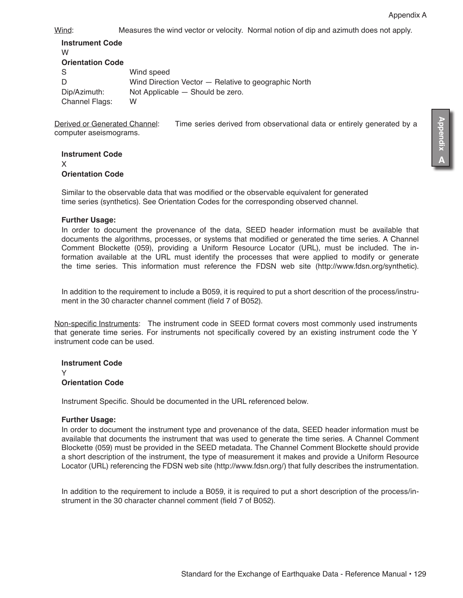Wind: Measures the wind vector or velocity. Normal notion of dip and azimuth does not apply.

| <b>Instrument Code</b><br>w |                                                      |
|-----------------------------|------------------------------------------------------|
| <b>Orientation Code</b>     |                                                      |
| S                           | Wind speed                                           |
|                             | Wind Direction Vector - Relative to geographic North |
| Dip/Azimuth:                | Not Applicable - Should be zero.                     |
| <b>Channel Flags:</b>       | w                                                    |

Derived or Generated Channel: Time series derived from observational data or entirely generated by a computer aseismograms.

**Instrument Code** X **Orientation Code**

Similar to the observable data that was modified or the observable equivalent for generated time series (synthetics). See Orientation Codes for the corresponding observed channel.

#### **Further Usage:**

In order to document the provenance of the data, SEED header information must be available that documents the algorithms, processes, or systems that modified or generated the time series. A Channel Comment Blockette (059), providing a Uniform Resource Locator (URL), must be included. The information available at the URL must identify the processes that were applied to modify or generate the time series. This information must reference the FDSN web site (http://www.fdsn.org/synthetic).

In addition to the requirement to include a B059, it is required to put a short descrition of the process/instrument in the 30 character channel comment (field 7 of B052).

Non-specific Instruments: The instrument code in SEED format covers most commonly used instruments that generate time series. For instruments not specifically covered by an existing instrument code the Y instrument code can be used.

**Instrument Code** Y **Orientation Code**

Instrument Specific. Should be documented in the URL referenced below.

#### **Further Usage:**

In order to document the instrument type and provenance of the data, SEED header information must be available that documents the instrument that was used to generate the time series. A Channel Comment Blockette (059) must be provided in the SEED metadata. The Channel Comment Blockette should provide a short description of the instrument, the type of measurement it makes and provide a Uniform Resource Locator (URL) referencing the FDSN web site (http://www.fdsn.org/) that fully describes the instrumentation.

In addition to the requirement to include a B059, it is required to put a short description of the process/instrument in the 30 character channel comment (field 7 of B052).